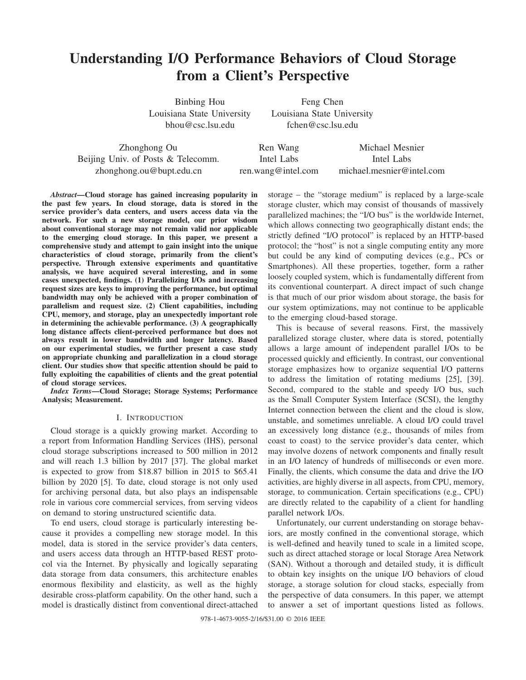# **Understanding I/O Performance Behaviors of Cloud Storage from a Client's Perspective**

Binbing Hou Feng Chen Louisiana State University Louisiana State University bhou@csc.lsu.edu fchen@csc.lsu.edu

Zhonghong Ou Ren Wang Michael Mesnier Beijing Univ. of Posts & Telecomm. Intel Labs Intel Labs zhonghong.ou@bupt.edu.cn ren.wang@intel.com michael.mesnier@intel.com

*Abstract***—Cloud storage has gained increasing popularity in the past few years. In cloud storage, data is stored in the service provider's data centers, and users access data via the network. For such a new storage model, our prior wisdom about conventional storage may not remain valid nor applicable to the emerging cloud storage. In this paper, we present a comprehensive study and attempt to gain insight into the unique characteristics of cloud storage, primarily from the client's perspective. Through extensive experiments and quantitative analysis, we have acquired several interesting, and in some cases unexpected, findings. (1) Parallelizing I/Os and increasing request sizes are keys to improving the performance, but optimal bandwidth may only be achieved with a proper combination of parallelism and request size. (2) Client capabilities, including CPU, memory, and storage, play an unexpectedly important role in determining the achievable performance. (3) A geographically long distance affects client-perceived performance but does not always result in lower bandwidth and longer latency. Based on our experimental studies, we further present a case study on appropriate chunking and parallelization in a cloud storage client. Our studies show that specific attention should be paid to fully exploiting the capabilities of clients and the great potential of cloud storage services.**

*Index Terms***—Cloud Storage; Storage Systems; Performance Analysis; Measurement.**

## I. INTRODUCTION

Cloud storage is a quickly growing market. According to a report from Information Handling Services (IHS), personal cloud storage subscriptions increased to 500 million in 2012 and will reach 1.3 billion by 2017 [37]. The global market is expected to grow from \$18.87 billion in 2015 to \$65.41 billion by 2020 [5]. To date, cloud storage is not only used for archiving personal data, but also plays an indispensable role in various core commercial services, from serving videos on demand to storing unstructured scientific data.

To end users, cloud storage is particularly interesting because it provides a compelling new storage model. In this model, data is stored in the service provider's data centers, and users access data through an HTTP-based REST protocol via the Internet. By physically and logically separating data storage from data consumers, this architecture enables enormous flexibility and elasticity, as well as the highly desirable cross-platform capability. On the other hand, such a model is drastically distinct from conventional direct-attached storage – the "storage medium" is replaced by a large-scale storage cluster, which may consist of thousands of massively parallelized machines; the "I/O bus" is the worldwide Internet, which allows connecting two geographically distant ends; the strictly defined "I/O protocol" is replaced by an HTTP-based protocol; the "host" is not a single computing entity any more but could be any kind of computing devices (e.g., PCs or Smartphones). All these properties, together, form a rather loosely coupled system, which is fundamentally different from its conventional counterpart. A direct impact of such change is that much of our prior wisdom about storage, the basis for our system optimizations, may not continue to be applicable to the emerging cloud-based storage.

This is because of several reasons. First, the massively parallelized storage cluster, where data is stored, potentially allows a large amount of independent parallel I/Os to be processed quickly and efficiently. In contrast, our conventional storage emphasizes how to organize sequential I/O patterns to address the limitation of rotating mediums [25], [39]. Second, compared to the stable and speedy I/O bus, such as the Small Computer System Interface (SCSI), the lengthy Internet connection between the client and the cloud is slow, unstable, and sometimes unreliable. A cloud I/O could travel an excessively long distance (e.g., thousands of miles from coast to coast) to the service provider's data center, which may involve dozens of network components and finally result in an I/O latency of hundreds of milliseconds or even more. Finally, the clients, which consume the data and drive the I/O activities, are highly diverse in all aspects, from CPU, memory, storage, to communication. Certain specifications (e.g., CPU) are directly related to the capability of a client for handling parallel network I/Os.

Unfortunately, our current understanding on storage behaviors, are mostly confined in the conventional storage, which is well-defined and heavily tuned to scale in a limited scope, such as direct attached storage or local Storage Area Network (SAN). Without a thorough and detailed study, it is difficult to obtain key insights on the unique I/O behaviors of cloud storage, a storage solution for cloud stacks, especially from the perspective of data consumers. In this paper, we attempt to answer a set of important questions listed as follows.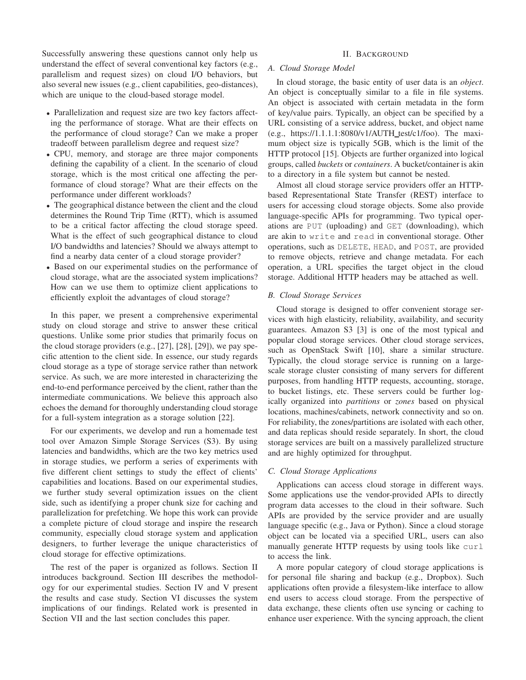Successfully answering these questions cannot only help us understand the effect of several conventional key factors (e.g., parallelism and request sizes) on cloud I/O behaviors, but also several new issues (e.g., client capabilities, geo-distances), which are unique to the cloud-based storage model.

- Parallelization and request size are two key factors affecting the performance of storage. What are their effects on the performance of cloud storage? Can we make a proper tradeoff between parallelism degree and request size?
- CPU, memory, and storage are three major components defining the capability of a client. In the scenario of cloud storage, which is the most critical one affecting the performance of cloud storage? What are their effects on the performance under different workloads?
- The geographical distance between the client and the cloud determines the Round Trip Time (RTT), which is assumed to be a critical factor affecting the cloud storage speed. What is the effect of such geographical distance to cloud I/O bandwidths and latencies? Should we always attempt to find a nearby data center of a cloud storage provider?
- Based on our experimental studies on the performance of cloud storage, what are the associated system implications? How can we use them to optimize client applications to efficiently exploit the advantages of cloud storage?

In this paper, we present a comprehensive experimental study on cloud storage and strive to answer these critical questions. Unlike some prior studies that primarily focus on the cloud storage providers (e.g., [27], [28], [29]), we pay specific attention to the client side. In essence, our study regards cloud storage as a type of storage service rather than network service. As such, we are more interested in characterizing the end-to-end performance perceived by the client, rather than the intermediate communications. We believe this approach also echoes the demand for thoroughly understanding cloud storage for a full-system integration as a storage solution [22].

For our experiments, we develop and run a homemade test tool over Amazon Simple Storage Services (S3). By using latencies and bandwidths, which are the two key metrics used in storage studies, we perform a series of experiments with five different client settings to study the effect of clients' capabilities and locations. Based on our experimental studies, we further study several optimization issues on the client side, such as identifying a proper chunk size for caching and parallelization for prefetching. We hope this work can provide a complete picture of cloud storage and inspire the research community, especially cloud storage system and application designers, to further leverage the unique characteristics of cloud storage for effective optimizations.

The rest of the paper is organized as follows. Section II introduces background. Section III describes the methodology for our experimental studies. Section IV and V present the results and case study. Section VI discusses the system implications of our findings. Related work is presented in Section VII and the last section concludes this paper.

#### II. BACKGROUND

## *A. Cloud Storage Model*

In cloud storage, the basic entity of user data is an *object*. An object is conceptually similar to a file in file systems. An object is associated with certain metadata in the form of key/value pairs. Typically, an object can be specified by a URL consisting of a service address, bucket, and object name  $(e.g., \n<https://1.1.1.1:8080/v1/AUTH> test/c1/foo). The maxi$ mum object size is typically 5GB, which is the limit of the HTTP protocol [15]. Objects are further organized into logical groups, called *buckets* or *containers*. A bucket/container is akin to a directory in a file system but cannot be nested.

Almost all cloud storage service providers offer an HTTPbased Representational State Transfer (REST) interface to users for accessing cloud storage objects. Some also provide language-specific APIs for programming. Two typical operations are PUT (uploading) and GET (downloading), which are akin to write and read in conventional storage. Other operations, such as DELETE, HEAD, and POST, are provided to remove objects, retrieve and change metadata. For each operation, a URL specifies the target object in the cloud storage. Additional HTTP headers may be attached as well.

#### *B. Cloud Storage Services*

Cloud storage is designed to offer convenient storage services with high elasticity, reliability, availability, and security guarantees. Amazon S3 [3] is one of the most typical and popular cloud storage services. Other cloud storage services, such as OpenStack Swift [10], share a similar structure. Typically, the cloud storage service is running on a largescale storage cluster consisting of many servers for different purposes, from handling HTTP requests, accounting, storage, to bucket listings, etc. These servers could be further logically organized into *partitions* or *zones* based on physical locations, machines/cabinets, network connectivity and so on. For reliability, the zones/partitions are isolated with each other, and data replicas should reside separately. In short, the cloud storage services are built on a massively parallelized structure and are highly optimized for throughput.

## *C. Cloud Storage Applications*

Applications can access cloud storage in different ways. Some applications use the vendor-provided APIs to directly program data accesses to the cloud in their software. Such APIs are provided by the service provider and are usually language specific (e.g., Java or Python). Since a cloud storage object can be located via a specified URL, users can also manually generate HTTP requests by using tools like curl to access the link.

A more popular category of cloud storage applications is for personal file sharing and backup (e.g., Dropbox). Such applications often provide a filesystem-like interface to allow end users to access cloud storage. From the perspective of data exchange, these clients often use syncing or caching to enhance user experience. With the syncing approach, the client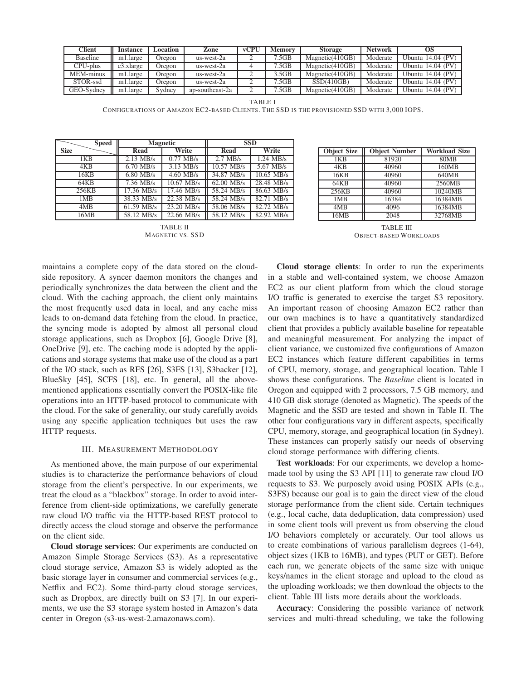| Client          | Instance  | ocation | Zone            | <b>vCPU</b> | Memorv | <b>Storage</b>  | <b>Network</b> | OS.                 |
|-----------------|-----------|---------|-----------------|-------------|--------|-----------------|----------------|---------------------|
| <b>Baseline</b> | m1.large  | Oregon  | us-west-2a      |             | 7.5GB  | Magnetic(410GB) | Moderate       | Ubuntu $14.04$ (PV) |
| CPU-plus        | c3.xlarge | Oregon  | us-west-2a      |             | 7.5GB  | Magnetic(410GB) | Moderate       | Ubuntu $14.04$ (PV) |
| MEM-minus       | m1.large  | Oregon  | us-west-2a      |             | 3.5GB  | Magnetic(410GB) | Moderate       | Ubuntu $14.04$ (PV) |
| STOR-ssd        | m1.large  | Oregon  | us-west-2a      |             | 7.5GB  | SSD(410GB)      | Moderate       | Ubuntu $14.04$ (PV) |
| GEO-Sydney      | m1.large  | Sydney  | ap-southeast-2a |             | 7.5GB  | Magnetic(410GB) | Moderate       | Ubuntu $14.04$ (PV) |

TABLE I CONFIGURATIONS OF AMAZON EC2-BASED CLIENTS. THE SSD IS THE PROVISIONED SSD WITH 3,000 IOPS.

| <b>Speed</b>    |              | <b>Magnetic</b> | <b>SSD</b>   |              |  |
|-----------------|--------------|-----------------|--------------|--------------|--|
| <b>Size</b>     | Read         | Write           | <b>Read</b>  | Write        |  |
| 1KB             | $2.13$ MB/s  | $0.77$ MB/s     | $2.7$ MB/s   | $1.24$ MB/s  |  |
| 4KB             | $6.70$ MB/s  | $3.13$ MB/s     | 10.57 MB/s   | 5.67 MB/s    |  |
| 16KB            | $6.80$ MB/s  | $4.60$ MB/s     | $34.87$ MB/s | $10.65$ MB/s |  |
| 64KB            | 7.36 MB/s    | $10.67$ MB/s    | $62.00$ MB/s | 28.48 MB/s   |  |
| 256KB           | 17.36 MB/s   | 17.46 MB/s      | 58.24 MB/s   | 86.63 MB/s   |  |
| 1M <sub>B</sub> | 38.33 MB/s   | $22.38$ MB/s    | 58.24 MB/s   | 82.71 MB/s   |  |
| 4MB             | $61.59$ MB/s | 23.20 MB/s      | 58.06 MB/s   | 82.72 MB/s   |  |
| 16MB            | 58.12 MB/s   | 22.66 MB/s      | 58.12 MB/s   | 82.92 MB/s   |  |

TABLE II MAGNETIC VS. SSD

| <b>Object Size</b>    | <b>Object Number</b> | <b>Workload Size</b> |
|-----------------------|----------------------|----------------------|
| 1 <sub>K</sub> B      | 81920                | 80MB                 |
| 4K <sub>R</sub>       | 40960                | 160MB                |
| 16KB                  | 40960                | 640MB                |
| 64KB                  | 40960                | 2560MB               |
| 256KB                 | 40960                | 10240MB              |
| 1MB                   | 16384                | 16384MB              |
| 4MB                   | $\sqrt{4096}$        | 16384MB              |
| $16\overline{\rm MB}$ | $\sqrt{2048}$        | 32768MB              |

TABLE III OBJECT-BASED WORKLOADS

maintains a complete copy of the data stored on the cloudside repository. A syncer daemon monitors the changes and periodically synchronizes the data between the client and the cloud. With the caching approach, the client only maintains the most frequently used data in local, and any cache miss leads to on-demand data fetching from the cloud. In practice, the syncing mode is adopted by almost all personal cloud storage applications, such as Dropbox [6], Google Drive [8], OneDrive [9], etc. The caching mode is adopted by the applications and storage systems that make use of the cloud as a part of the I/O stack, such as RFS [26], S3FS [13], S3backer [12], BlueSky [45], SCFS [18], etc. In general, all the abovementioned applications essentially convert the POSIX-like file operations into an HTTP-based protocol to communicate with the cloud. For the sake of generality, our study carefully avoids using any specific application techniques but uses the raw HTTP requests.

## III. MEASUREMENT METHODOLOGY

As mentioned above, the main purpose of our experimental studies is to characterize the performance behaviors of cloud storage from the client's perspective. In our experiments, we treat the cloud as a "blackbox" storage. In order to avoid interference from client-side optimizations, we carefully generate raw cloud I/O traffic via the HTTP-based REST protocol to directly access the cloud storage and observe the performance on the client side.

**Cloud storage services**: Our experiments are conducted on Amazon Simple Storage Services (S3). As a representative cloud storage service, Amazon S3 is widely adopted as the basic storage layer in consumer and commercial services (e.g., Netflix and EC2). Some third-party cloud storage services, such as Dropbox, are directly built on S3 [7]. In our experiments, we use the S3 storage system hosted in Amazon's data center in Oregon (s3-us-west-2.amazonaws.com).

**Cloud storage clients**: In order to run the experiments in a stable and well-contained system, we choose Amazon EC2 as our client platform from which the cloud storage I/O traffic is generated to exercise the target S3 repository. An important reason of choosing Amazon EC2 rather than our own machines is to have a quantitatively standardized client that provides a publicly available baseline for repeatable and meaningful measurement. For analyzing the impact of client variance, we customized five configurations of Amazon EC2 instances which feature different capabilities in terms of CPU, memory, storage, and geographical location. Table I shows these configurations. The *Baseline* client is located in Oregon and equipped with 2 processors, 7.5 GB memory, and 410 GB disk storage (denoted as Magnetic). The speeds of the Magnetic and the SSD are tested and shown in Table II. The other four configurations vary in different aspects, specifically CPU, memory, storage, and geographical location (in Sydney). These instances can properly satisfy our needs of observing cloud storage performance with differing clients.

**Test workloads**: For our experiments, we develop a homemade tool by using the S3 API [11] to generate raw cloud I/O requests to S3. We purposely avoid using POSIX APIs (e.g., S3FS) because our goal is to gain the direct view of the cloud storage performance from the client side. Certain techniques (e.g., local cache, data deduplication, data compression) used in some client tools will prevent us from observing the cloud I/O behaviors completely or accurately. Our tool allows us to create combinations of various parallelism degrees (1-64), object sizes (1KB to 16MB), and types (PUT or GET). Before each run, we generate objects of the same size with unique keys/names in the client storage and upload to the cloud as the uploading workloads; we then download the objects to the client. Table III lists more details about the workloads.

**Accuracy**: Considering the possible variance of network services and multi-thread scheduling, we take the following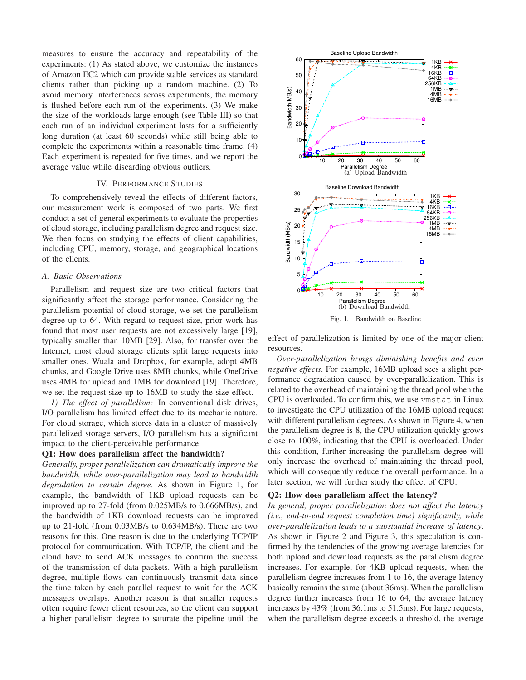measures to ensure the accuracy and repeatability of the experiments: (1) As stated above, we customize the instances of Amazon EC2 which can provide stable services as standard clients rather than picking up a random machine. (2) To avoid memory interferences across experiments, the memory is flushed before each run of the experiments. (3) We make the size of the workloads large enough (see Table III) so that each run of an individual experiment lasts for a sufficiently long duration (at least 60 seconds) while still being able to complete the experiments within a reasonable time frame. (4) Each experiment is repeated for five times, and we report the average value while discarding obvious outliers.

#### IV. PERFORMANCE STUDIES

To comprehensively reveal the effects of different factors, our measurement work is composed of two parts. We first conduct a set of general experiments to evaluate the properties of cloud storage, including parallelism degree and request size. We then focus on studying the effects of client capabilities, including CPU, memory, storage, and geographical locations of the clients.

#### *A. Basic Observations*

Parallelism and request size are two critical factors that significantly affect the storage performance. Considering the parallelism potential of cloud storage, we set the parallelism degree up to 64. With regard to request size, prior work has found that most user requests are not excessively large [19], typically smaller than 10MB [29]. Also, for transfer over the Internet, most cloud storage clients split large requests into smaller ones. Wuala and Dropbox, for example, adopt 4MB chunks, and Google Drive uses 8MB chunks, while OneDrive uses 4MB for upload and 1MB for download [19]. Therefore, we set the request size up to 16MB to study the size effect.

*1) The effect of parallelism:* In conventional disk drives, I/O parallelism has limited effect due to its mechanic nature. For cloud storage, which stores data in a cluster of massively parallelized storage servers, I/O parallelism has a significant impact to the client-perceivable performance.

## **Q1: How does parallelism affect the bandwidth?**

*Generally, proper parallelization can dramatically improve the bandwidth, while over-parallelization may lead to bandwidth degradation to certain degree*. As shown in Figure 1, for example, the bandwidth of 1KB upload requests can be improved up to 27-fold (from 0.025MB/s to 0.666MB/s), and the bandwidth of 1KB download requests can be improved up to 21-fold (from 0.03MB/s to 0.634MB/s). There are two reasons for this. One reason is due to the underlying TCP/IP protocol for communication. With TCP/IP, the client and the cloud have to send ACK messages to confirm the success of the transmission of data packets. With a high parallelism degree, multiple flows can continuously transmit data since the time taken by each parallel request to wait for the ACK messages overlaps. Another reason is that smaller requests often require fewer client resources, so the client can support a higher parallelism degree to saturate the pipeline until the



effect of parallelization is limited by one of the major client resources.

*Over-parallelization brings diminishing benefits and even negative effects*. For example, 16MB upload sees a slight performance degradation caused by over-parallelization. This is related to the overhead of maintaining the thread pool when the CPU is overloaded. To confirm this, we use vmstat in Linux to investigate the CPU utilization of the 16MB upload request with different parallelism degrees. As shown in Figure 4, when the parallelism degree is 8, the CPU utilization quickly grows close to 100%, indicating that the CPU is overloaded. Under this condition, further increasing the parallelism degree will only increase the overhead of maintaining the thread pool, which will consequently reduce the overall performance. In a later section, we will further study the effect of CPU.

## **Q2: How does parallelism affect the latency?**

*In general, proper parallelization does not affect the latency (i.e., end-to-end request completion time) significantly, while over-parallelization leads to a substantial increase of latency*. As shown in Figure 2 and Figure 3, this speculation is confirmed by the tendencies of the growing average latencies for both upload and download requests as the parallelism degree increases. For example, for 4KB upload requests, when the parallelism degree increases from 1 to 16, the average latency basically remains the same (about 36ms). When the parallelism degree further increases from 16 to 64, the average latency increases by 43% (from 36.1ms to 51.5ms). For large requests, when the parallelism degree exceeds a threshold, the average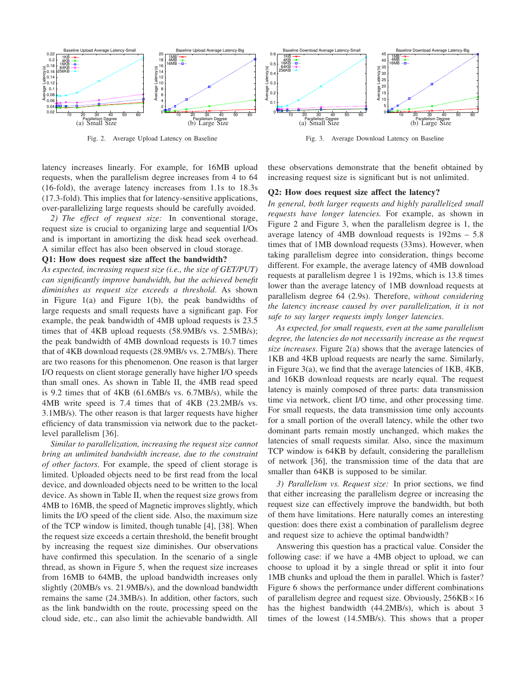

Fig. 2. Average Upload Latency on Baseline

latency increases linearly. For example, for 16MB upload requests, when the parallelism degree increases from 4 to 64 (16-fold), the average latency increases from 1.1s to 18.3s (17.3-fold). This implies that for latency-sensitive applications, over-parallelizing large requests should be carefully avoided.

*2) The effect of request size:* In conventional storage, request size is crucial to organizing large and sequential I/Os and is important in amortizing the disk head seek overhead. A similar effect has also been observed in cloud storage.

#### **Q1: How does request size affect the bandwidth?**

*As expected, increasing request size (i.e., the size of GET/PUT) can significantly improve bandwidth, but the achieved benefit diminishes as request size exceeds a threshold*. As shown in Figure 1(a) and Figure 1(b), the peak bandwidths of large requests and small requests have a significant gap. For example, the peak bandwidth of 4MB upload requests is 23.5 times that of 4KB upload requests (58.9MB/s vs. 2.5MB/s); the peak bandwidth of 4MB download requests is 10.7 times that of 4KB download requests (28.9MB/s vs. 2.7MB/s). There are two reasons for this phenomenon. One reason is that larger I/O requests on client storage generally have higher I/O speeds than small ones. As shown in Table II, the 4MB read speed is 9.2 times that of 4KB (61.6MB/s vs. 6.7MB/s), while the 4MB write speed is 7.4 times that of 4KB (23.2MB/s vs. 3.1MB/s). The other reason is that larger requests have higher efficiency of data transmission via network due to the packetlevel parallelism [36].

*Similar to parallelization, increasing the request size cannot bring an unlimited bandwidth increase, due to the constraint of other factors*. For example, the speed of client storage is limited. Uploaded objects need to be first read from the local device, and downloaded objects need to be written to the local device. As shown in Table II, when the request size grows from 4MB to 16MB, the speed of Magnetic improves slightly, which limits the I/O speed of the client side. Also, the maximum size of the TCP window is limited, though tunable [4], [38]. When the request size exceeds a certain threshold, the benefit brought by increasing the request size diminishes. Our observations have confirmed this speculation. In the scenario of a single thread, as shown in Figure 5, when the request size increases from 16MB to 64MB, the upload bandwidth increases only slightly (20MB/s vs. 21.9MB/s), and the download bandwidth remains the same (24.3MB/s). In addition, other factors, such as the link bandwidth on the route, processing speed on the cloud side, etc., can also limit the achievable bandwidth. All

Fig. 3. Average Download Latency on Baseline

these observations demonstrate that the benefit obtained by increasing request size is significant but is not unlimited.

## **Q2: How does request size affect the latency?**

*In general, both larger requests and highly parallelized small requests have longer latencies.* For example, as shown in Figure 2 and Figure 3, when the parallelism degree is 1, the average latency of 4MB download requests is 192ms – 5.8 times that of 1MB download requests (33ms). However, when taking parallelism degree into consideration, things become different. For example, the average latency of 4MB download requests at parallelism degree 1 is 192ms, which is 13.8 times lower than the average latency of 1MB download requests at parallelism degree 64 (2.9s). Therefore, *without considering the latency increase caused by over parallelization, it is not safe to say larger requests imply longer latencies*.

*As expected, for small requests, even at the same parallelism degree, the latencies do not necessarily increase as the request size increases*. Figure 2(a) shows that the average latencies of 1KB and 4KB upload requests are nearly the same. Similarly, in Figure 3(a), we find that the average latencies of 1KB, 4KB, and 16KB download requests are nearly equal. The request latency is mainly composed of three parts: data transmission time via network, client I/O time, and other processing time. For small requests, the data transmission time only accounts for a small portion of the overall latency, while the other two dominant parts remain mostly unchanged, which makes the latencies of small requests similar. Also, since the maximum TCP window is 64KB by default, considering the parallelism of network [36], the transmission time of the data that are smaller than 64KB is supposed to be similar.

*3) Parallelism vs. Request size:* In prior sections, we find that either increasing the parallelism degree or increasing the request size can effectively improve the bandwidth, but both of them have limitations. Here naturally comes an interesting question: does there exist a combination of parallelism degree and request size to achieve the optimal bandwidth?

Answering this question has a practical value. Consider the following case: if we have a 4MB object to upload, we can choose to upload it by a single thread or split it into four 1MB chunks and upload the them in parallel. Which is faster? Figure 6 shows the performance under different combinations of parallelism degree and request size. Obviously,  $256KB \times 16$ has the highest bandwidth (44.2MB/s), which is about 3 times of the lowest (14.5MB/s). This shows that a proper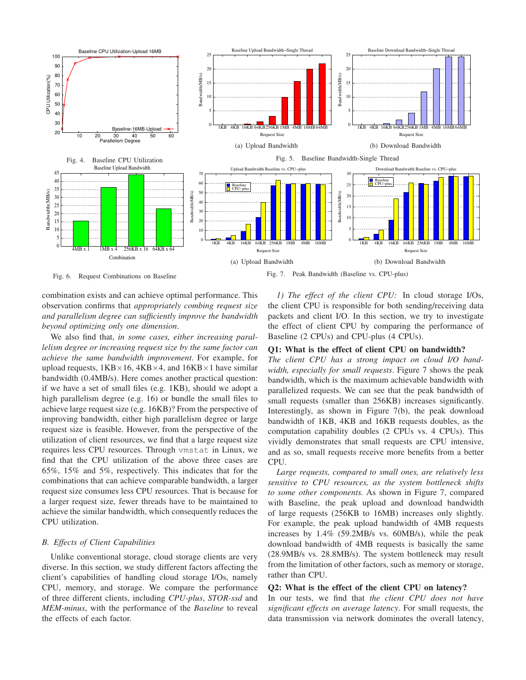

Fig. 6. Request Combinations on Baseline

Fig. 7. Peak Bandwidth (Baseline vs. CPU-plus)

combination exists and can achieve optimal performance. This observation confirms that *appropriately combing request size and parallelism degree can sufficiently improve the bandwidth beyond optimizing only one dimension*.

We also find that, *in some cases, either increasing parallelism degree or increasing request size by the same factor can achieve the same bandwidth improvement*. For example, for upload requests,  $1KB \times 16$ ,  $4KB \times 4$ , and  $16KB \times 1$  have similar bandwidth (0.4MB/s). Here comes another practical question: if we have a set of small files (e.g. 1KB), should we adopt a high parallelism degree (e.g. 16) or bundle the small files to achieve large request size (e.g. 16KB)? From the perspective of improving bandwidth, either high parallelism degree or large request size is feasible. However, from the perspective of the utilization of client resources, we find that a large request size requires less CPU resources. Through vmstat in Linux, we find that the CPU utilization of the above three cases are 65%, 15% and 5%, respectively. This indicates that for the combinations that can achieve comparable bandwidth, a larger request size consumes less CPU resources. That is because for a larger request size, fewer threads have to be maintained to achieve the similar bandwidth, which consequently reduces the CPU utilization.

## *B. Effects of Client Capabilities*

Unlike conventional storage, cloud storage clients are very diverse. In this section, we study different factors affecting the client's capabilities of handling cloud storage I/Os, namely CPU, memory, and storage. We compare the performance of three different clients, including *CPU-plus*, *STOR-ssd* and *MEM-minus*, with the performance of the *Baseline* to reveal the effects of each factor.

*1) The effect of the client CPU:* In cloud storage I/Os, the client CPU is responsible for both sending/receiving data packets and client I/O. In this section, we try to investigate the effect of client CPU by comparing the performance of Baseline (2 CPUs) and CPU-plus (4 CPUs).

## **Q1: What is the effect of client CPU on bandwidth?**

*The client CPU has a strong impact on cloud I/O bandwidth, especially for small requests*. Figure 7 shows the peak bandwidth, which is the maximum achievable bandwidth with parallelized requests. We can see that the peak bandwidth of small requests (smaller than 256KB) increases significantly. Interestingly, as shown in Figure 7(b), the peak download bandwidth of 1KB, 4KB and 16KB requests doubles, as the computation capability doubles (2 CPUs vs. 4 CPUs). This vividly demonstrates that small requests are CPU intensive, and as so, small requests receive more benefits from a better CPU.

*Large requests, compared to small ones, are relatively less sensitive to CPU resources, as the system bottleneck shifts to some other components.* As shown in Figure 7, compared with Baseline, the peak upload and download bandwidth of large requests (256KB to 16MB) increases only slightly. For example, the peak upload bandwidth of 4MB requests increases by 1.4% (59.2MB/s vs. 60MB/s), while the peak download bandwidth of 4MB requests is basically the same (28.9MB/s vs. 28.8MB/s). The system bottleneck may result from the limitation of other factors, such as memory or storage, rather than CPU.

# **Q2: What is the effect of the client CPU on latency?**

In our tests, we find that *the client CPU does not have significant effects on average latency*. For small requests, the data transmission via network dominates the overall latency,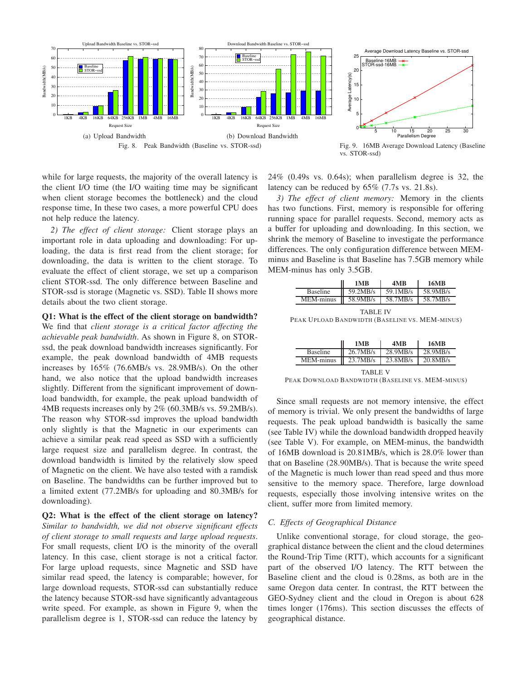

while for large requests, the majority of the overall latency is the client I/O time (the I/O waiting time may be significant when client storage becomes the bottleneck) and the cloud response time, In these two cases, a more powerful CPU does not help reduce the latency.

*2) The effect of client storage:* Client storage plays an important role in data uploading and downloading: For uploading, the data is first read from the client storage; for downloading, the data is written to the client storage. To evaluate the effect of client storage, we set up a comparison client STOR-ssd. The only difference between Baseline and STOR-ssd is storage (Magnetic vs. SSD). Table II shows more details about the two client storage.

**Q1: What is the effect of the client storage on bandwidth?** We find that *client storage is a critical factor affecting the achievable peak bandwidth*. As shown in Figure 8, on STORssd, the peak download bandwidth increases significantly. For example, the peak download bandwidth of 4MB requests increases by 165% (76.6MB/s vs. 28.9MB/s). On the other hand, we also notice that the upload bandwidth increases slightly. Different from the significant improvement of download bandwidth, for example, the peak upload bandwidth of 4MB requests increases only by 2% (60.3MB/s vs. 59.2MB/s). The reason why STOR-ssd improves the upload bandwidth only slightly is that the Magnetic in our experiments can achieve a similar peak read speed as SSD with a sufficiently large request size and parallelism degree. In contrast, the download bandwidth is limited by the relatively slow speed of Magnetic on the client. We have also tested with a ramdisk on Baseline. The bandwidths can be further improved but to a limited extent (77.2MB/s for uploading and 80.3MB/s for downloading).

**Q2: What is the effect of the client storage on latency?** *Similar to bandwidth, we did not observe significant effects of client storage to small requests and large upload requests*. For small requests, client I/O is the minority of the overall latency. In this case, client storage is not a critical factor. For large upload requests, since Magnetic and SSD have similar read speed, the latency is comparable; however, for large download requests, STOR-ssd can substantially reduce the latency because STOR-ssd have significantly advantageous write speed. For example, as shown in Figure 9, when the parallelism degree is 1, STOR-ssd can reduce the latency by

24% (0.49s vs. 0.64s); when parallelism degree is 32, the latency can be reduced by 65% (7.7s vs. 21.8s).

*3) The effect of client memory:* Memory in the clients has two functions. First, memory is responsible for offering running space for parallel requests. Second, memory acts as a buffer for uploading and downloading. In this section, we shrink the memory of Baseline to investigate the performance differences. The only configuration difference between MEMminus and Baseline is that Baseline has 7.5GB memory while MEM-minus has only 3.5GB.

|                 | 1 M B    | 4MB      | 16MB     |
|-----------------|----------|----------|----------|
| <b>Baseline</b> | 59.2MB/s | 59.1MB/s | 58.9MB/s |
| MEM-minus       | 58.9MB/s | 58.7MB/s | 58.7MB/s |
| TARI E IV       |          |          |          |

PEAK UPLOAD BANDWIDTH (BASELINE VS. MEM-MINUS)

|                                                                  | 1MB      | 4MB      | 16MB     |  |
|------------------------------------------------------------------|----------|----------|----------|--|
| <b>Baseline</b>                                                  | 26.7MB/s | 28.9MB/s | 28.9MB/s |  |
| MEM-minus                                                        | 23.7MB/s | 23.8MB/s | 20.8MB/s |  |
| <b>TABLE V</b><br>LE DOUNT OFF DIATRUIRTH (DIGELINE VG. MEM AINT |          |          |          |  |

PEAK DOWNLOAD BANDWIDTH (BASELINE VS. MEM-MINUS)

Since small requests are not memory intensive, the effect of memory is trivial. We only present the bandwidths of large requests. The peak upload bandwidth is basically the same (see Table IV) while the download bandwidth dropped heavily (see Table V). For example, on MEM-minus, the bandwidth of 16MB download is 20.81MB/s, which is 28.0% lower than that on Baseline (28.90MB/s). That is because the write speed of the Magnetic is much lower than read speed and thus more sensitive to the memory space. Therefore, large download requests, especially those involving intensive writes on the client, suffer more from limited memory.

#### *C. Effects of Geographical Distance*

Unlike conventional storage, for cloud storage, the geographical distance between the client and the cloud determines the Round-Trip Time (RTT), which accounts for a significant part of the observed I/O latency. The RTT between the Baseline client and the cloud is 0.28ms, as both are in the same Oregon data center. In contrast, the RTT between the GEO-Sydney client and the cloud in Oregon is about 628 times longer (176ms). This section discusses the effects of geographical distance.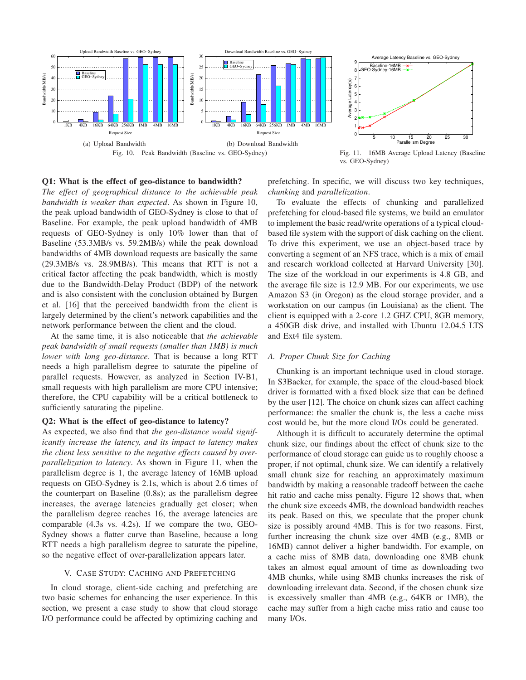



Fig. 11. 16MB Average Upload Latency (Baseline vs. GEO-Sydney)

## **Q1: What is the effect of geo-distance to bandwidth?**

*The effect of geographical distance to the achievable peak bandwidth is weaker than expected*. As shown in Figure 10, the peak upload bandwidth of GEO-Sydney is close to that of Baseline. For example, the peak upload bandwidth of 4MB requests of GEO-Sydney is only 10% lower than that of Baseline (53.3MB/s vs. 59.2MB/s) while the peak download bandwidths of 4MB download requests are basically the same (29.3MB/s vs. 28.9MB/s). This means that RTT is not a critical factor affecting the peak bandwidth, which is mostly due to the Bandwidth-Delay Product (BDP) of the network and is also consistent with the conclusion obtained by Burgen et al. [16] that the perceived bandwidth from the client is largely determined by the client's network capabilities and the network performance between the client and the cloud.

At the same time, it is also noticeable that *the achievable peak bandwidth of small requests (smaller than 1MB) is much lower with long geo-distance*. That is because a long RTT needs a high parallelism degree to saturate the pipeline of parallel requests. However, as analyzed in Section IV-B1, small requests with high parallelism are more CPU intensive; therefore, the CPU capability will be a critical bottleneck to sufficiently saturating the pipeline.

## **Q2: What is the effect of geo-distance to latency?**

As expected, we also find that *the geo-distance would significantly increase the latency, and its impact to latency makes the client less sensitive to the negative effects caused by overparallelization to latency*. As shown in Figure 11, when the parallelism degree is 1, the average latency of 16MB upload requests on GEO-Sydney is 2.1s, which is about 2.6 times of the counterpart on Baseline (0.8s); as the parallelism degree increases, the average latencies gradually get closer; when the parallelism degree reaches 16, the average latencies are comparable (4.3s vs. 4.2s). If we compare the two, GEO-Sydney shows a flatter curve than Baseline, because a long RTT needs a high parallelism degree to saturate the pipeline, so the negative effect of over-parallelization appears later.

#### V. CASE STUDY: CACHING AND PREFETCHING

In cloud storage, client-side caching and prefetching are two basic schemes for enhancing the user experience. In this section, we present a case study to show that cloud storage I/O performance could be affected by optimizing caching and prefetching. In specific, we will discuss two key techniques, *chunking* and *parallelization*.

To evaluate the effects of chunking and parallelized prefetching for cloud-based file systems, we build an emulator to implement the basic read/write operations of a typical cloudbased file system with the support of disk caching on the client. To drive this experiment, we use an object-based trace by converting a segment of an NFS trace, which is a mix of email and research workload collected at Harvard University [30]. The size of the workload in our experiments is 4.8 GB, and the average file size is 12.9 MB. For our experiments, we use Amazon S3 (in Oregon) as the cloud storage provider, and a workstation on our campus (in Louisiana) as the client. The client is equipped with a 2-core 1.2 GHZ CPU, 8GB memory, a 450GB disk drive, and installed with Ubuntu 12.04.5 LTS and Ext4 file system.

#### *A. Proper Chunk Size for Caching*

Chunking is an important technique used in cloud storage. In S3Backer, for example, the space of the cloud-based block driver is formatted with a fixed block size that can be defined by the user [12]. The choice on chunk sizes can affect caching performance: the smaller the chunk is, the less a cache miss cost would be, but the more cloud I/Os could be generated.

Although it is difficult to accurately determine the optimal chunk size, our findings about the effect of chunk size to the performance of cloud storage can guide us to roughly choose a proper, if not optimal, chunk size. We can identify a relatively small chunk size for reaching an approximately maximum bandwidth by making a reasonable tradeoff between the cache hit ratio and cache miss penalty. Figure 12 shows that, when the chunk size exceeds 4MB, the download bandwidth reaches its peak. Based on this, we speculate that the proper chunk size is possibly around 4MB. This is for two reasons. First, further increasing the chunk size over 4MB (e.g., 8MB or 16MB) cannot deliver a higher bandwidth. For example, on a cache miss of 8MB data, downloading one 8MB chunk takes an almost equal amount of time as downloading two 4MB chunks, while using 8MB chunks increases the risk of downloading irrelevant data. Second, if the chosen chunk size is excessively smaller than 4MB (e.g., 64KB or 1MB), the cache may suffer from a high cache miss ratio and cause too many I/Os.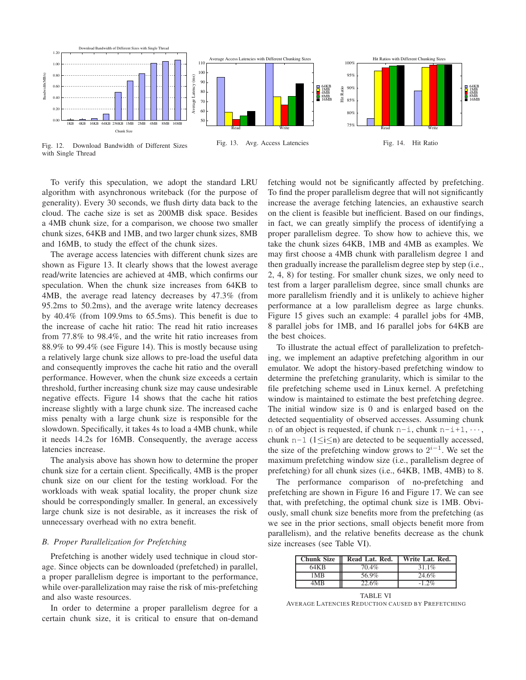

To verify this speculation, we adopt the standard LRU algorithm with asynchronous writeback (for the purpose of generality). Every 30 seconds, we flush dirty data back to the cloud. The cache size is set as 200MB disk space. Besides a 4MB chunk size, for a comparison, we choose two smaller chunk sizes, 64KB and 1MB, and two larger chunk sizes, 8MB and 16MB, to study the effect of the chunk sizes.

The average access latencies with different chunk sizes are shown as Figure 13. It clearly shows that the lowest average read/write latencies are achieved at 4MB, which confirms our speculation. When the chunk size increases from 64KB to 4MB, the average read latency decreases by 47.3% (from 95.2ms to 50.2ms), and the average write latency decreases by 40.4% (from 109.9ms to 65.5ms). This benefit is due to the increase of cache hit ratio: The read hit ratio increases from 77.8% to 98.4%, and the write hit ratio increases from 88.9% to 99.4% (see Figure 14). This is mostly because using a relatively large chunk size allows to pre-load the useful data and consequently improves the cache hit ratio and the overall performance. However, when the chunk size exceeds a certain threshold, further increasing chunk size may cause undesirable negative effects. Figure 14 shows that the cache hit ratios increase slightly with a large chunk size. The increased cache miss penalty with a large chunk size is responsible for the slowdown. Specifically, it takes 4s to load a 4MB chunk, while it needs 14.2s for 16MB. Consequently, the average access latencies increase.

The analysis above has shown how to determine the proper chunk size for a certain client. Specifically, 4MB is the proper chunk size on our client for the testing workload. For the workloads with weak spatial locality, the proper chunk size should be correspondingly smaller. In general, an excessively large chunk size is not desirable, as it increases the risk of unnecessary overhead with no extra benefit.

#### *B. Proper Parallelization for Prefetching*

Prefetching is another widely used technique in cloud storage. Since objects can be downloaded (prefetched) in parallel, a proper parallelism degree is important to the performance, while over-parallelization may raise the risk of mis-prefetching and also waste resources.

In order to determine a proper parallelism degree for a certain chunk size, it is critical to ensure that on-demand

fetching would not be significantly affected by prefetching. To find the proper parallelism degree that will not significantly increase the average fetching latencies, an exhaustive search on the client is feasible but inefficient. Based on our findings, in fact, we can greatly simplify the process of identifying a proper parallelism degree. To show how to achieve this, we take the chunk sizes 64KB, 1MB and 4MB as examples. We may first choose a 4MB chunk with parallelism degree 1 and then gradually increase the parallelism degree step by step (i.e., 2, 4, 8) for testing. For smaller chunk sizes, we only need to test from a larger parallelism degree, since small chunks are more parallelism friendly and it is unlikely to achieve higher performance at a low parallelism degree as large chunks. Figure 15 gives such an example: 4 parallel jobs for 4MB, 8 parallel jobs for 1MB, and 16 parallel jobs for 64KB are the best choices.

To illustrate the actual effect of parallelization to prefetching, we implement an adaptive prefetching algorithm in our emulator. We adopt the history-based prefetching window to determine the prefetching granularity, which is similar to the file prefetching scheme used in Linux kernel. A prefetching window is maintained to estimate the best prefetching degree. The initial window size is 0 and is enlarged based on the detected sequentiality of observed accesses. Assuming chunk n of an object is requested, if chunk  $n-i$ , chunk  $n-i+1, \dots$ , chunk n-1 ( $1 \le i \le n$ ) are detected to be sequentially accessed, the size of the prefetching window grows to  $2^{i-1}$ . We set the maximum prefetching window size (i.e., parallelism degree of prefetching) for all chunk sizes (i.e., 64KB, 1MB, 4MB) to 8.

The performance comparison of no-prefetching and prefetching are shown in Figure 16 and Figure 17. We can see that, with prefetching, the optimal chunk size is 1MB. Obviously, small chunk size benefits more from the prefetching (as we see in the prior sections, small objects benefit more from parallelism), and the relative benefits decrease as the chunk size increases (see Table VI).

| Chunk Size II | Read Lat. Red. | Write Lat. Red. |
|---------------|----------------|-----------------|
| 64KB          | 70.4%          | $31.1\%$        |
| 1MB           | 56.9%          | 24.6%           |
| 4MB           | 22.6%          | $-1.2\%$        |

TABLE VI AVERAGE LATENCIES REDUCTION CAUSED BY PREFETCHING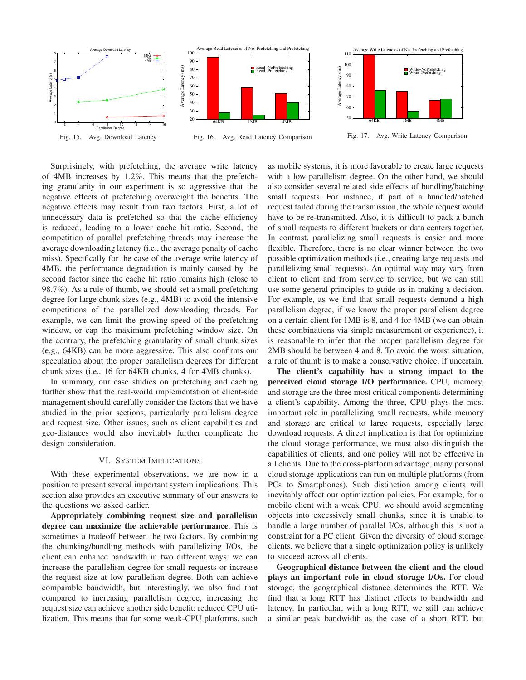

Surprisingly, with prefetching, the average write latency of 4MB increases by 1.2%. This means that the prefetching granularity in our experiment is so aggressive that the negative effects of prefetching overweight the benefits. The negative effects may result from two factors. First, a lot of unnecessary data is prefetched so that the cache efficiency is reduced, leading to a lower cache hit ratio. Second, the competition of parallel prefetching threads may increase the average downloading latency (i.e., the average penalty of cache miss). Specifically for the case of the average write latency of 4MB, the performance degradation is mainly caused by the second factor since the cache hit ratio remains high (close to 98.7%). As a rule of thumb, we should set a small prefetching degree for large chunk sizes (e.g., 4MB) to avoid the intensive competitions of the parallelized downloading threads. For example, we can limit the growing speed of the prefetching window, or cap the maximum prefetching window size. On the contrary, the prefetching granularity of small chunk sizes (e.g., 64KB) can be more aggressive. This also confirms our speculation about the proper parallelism degrees for different chunk sizes (i.e., 16 for 64KB chunks, 4 for 4MB chunks).

In summary, our case studies on prefetching and caching further show that the real-world implementation of client-side management should carefully consider the factors that we have studied in the prior sections, particularly parallelism degree and request size. Other issues, such as client capabilities and geo-distances would also inevitably further complicate the design consideration.

## VI. SYSTEM IMPLICATIONS

With these experimental observations, we are now in a position to present several important system implications. This section also provides an executive summary of our answers to the questions we asked earlier.

**Appropriately combining request size and parallelism degree can maximize the achievable performance**. This is sometimes a tradeoff between the two factors. By combining the chunking/bundling methods with parallelizing I/Os, the client can enhance bandwidth in two different ways: we can increase the parallelism degree for small requests or increase the request size at low parallelism degree. Both can achieve comparable bandwidth, but interestingly, we also find that compared to increasing parallelism degree, increasing the request size can achieve another side benefit: reduced CPU utilization. This means that for some weak-CPU platforms, such

as mobile systems, it is more favorable to create large requests with a low parallelism degree. On the other hand, we should also consider several related side effects of bundling/batching small requests. For instance, if part of a bundled/batched request failed during the transmission, the whole request would have to be re-transmitted. Also, it is difficult to pack a bunch of small requests to different buckets or data centers together. In contrast, parallelizing small requests is easier and more flexible. Therefore, there is no clear winner between the two possible optimization methods (i.e., creating large requests and parallelizing small requests). An optimal way may vary from client to client and from service to service, but we can still use some general principles to guide us in making a decision. For example, as we find that small requests demand a high parallelism degree, if we know the proper parallelism degree on a certain client for 1MB is 8, and 4 for 4MB (we can obtain these combinations via simple measurement or experience), it is reasonable to infer that the proper parallelism degree for 2MB should be between 4 and 8. To avoid the worst situation, a rule of thumb is to make a conservative choice, if uncertain.

**The client's capability has a strong impact to the perceived cloud storage I/O performance.** CPU, memory, and storage are the three most critical components determining a client's capability. Among the three, CPU plays the most important role in parallelizing small requests, while memory and storage are critical to large requests, especially large download requests. A direct implication is that for optimizing the cloud storage performance, we must also distinguish the capabilities of clients, and one policy will not be effective in all clients. Due to the cross-platform advantage, many personal cloud storage applications can run on multiple platforms (from PCs to Smartphones). Such distinction among clients will inevitably affect our optimization policies. For example, for a mobile client with a weak CPU, we should avoid segmenting objects into excessively small chunks, since it is unable to handle a large number of parallel I/Os, although this is not a constraint for a PC client. Given the diversity of cloud storage clients, we believe that a single optimization policy is unlikely to succeed across all clients.

**Geographical distance between the client and the cloud plays an important role in cloud storage I/Os.** For cloud storage, the geographical distance determines the RTT. We find that a long RTT has distinct effects to bandwidth and latency. In particular, with a long RTT, we still can achieve a similar peak bandwidth as the case of a short RTT, but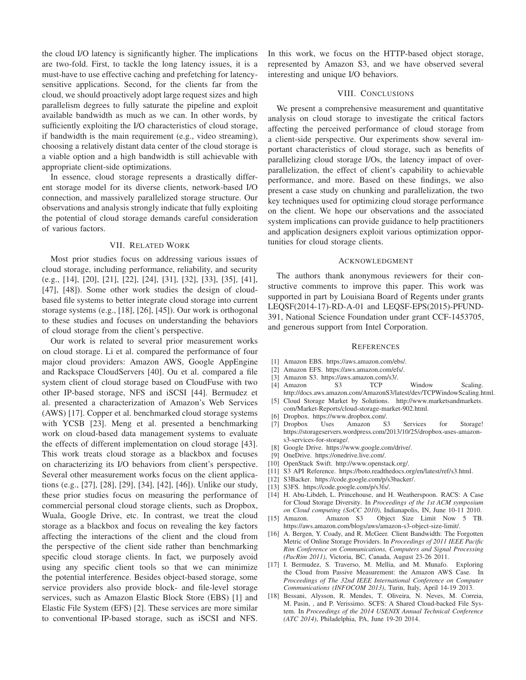the cloud I/O latency is significantly higher. The implications are two-fold. First, to tackle the long latency issues, it is a must-have to use effective caching and prefetching for latencysensitive applications. Second, for the clients far from the cloud, we should proactively adopt large request sizes and high parallelism degrees to fully saturate the pipeline and exploit available bandwidth as much as we can. In other words, by sufficiently exploiting the I/O characteristics of cloud storage, if bandwidth is the main requirement (e.g., video streaming), choosing a relatively distant data center of the cloud storage is a viable option and a high bandwidth is still achievable with appropriate client-side optimizations.

In essence, cloud storage represents a drastically different storage model for its diverse clients, network-based I/O connection, and massively parallelized storage structure. Our observations and analysis strongly indicate that fully exploiting the potential of cloud storage demands careful consideration of various factors.

## VII. RELATED WORK

Most prior studies focus on addressing various issues of cloud storage, including performance, reliability, and security (e.g., [14], [20], [21], [22], [24], [31], [32], [33], [35], [41], [47], [48]). Some other work studies the design of cloudbased file systems to better integrate cloud storage into current storage systems (e.g., [18], [26], [45]). Our work is orthogonal to these studies and focuses on understanding the behaviors of cloud storage from the client's perspective.

Our work is related to several prior measurement works on cloud storage. Li et al. compared the performance of four major cloud providers: Amazon AWS, Google AppEngine and Rackspace CloudServers [40]. Ou et al. compared a file system client of cloud storage based on CloudFuse with two other IP-based storage, NFS and iSCSI [44]. Bermudez et al. presented a characterization of Amazon's Web Services (AWS) [17]. Copper et al. benchmarked cloud storage systems with YCSB [23]. Meng et al. presented a benchmarking work on cloud-based data management systems to evaluate the effects of different implementation on cloud storage [43]. This work treats cloud storage as a blackbox and focuses on characterizing its I/O behaviors from client's perspective. Several other measurement works focus on the client applications (e.g., [27], [28], [29], [34], [42], [46]). Unlike our study, these prior studies focus on measuring the performance of commercial personal cloud storage clients, such as Dropbox, Wuala, Google Drive, etc. In contrast, we treat the cloud storage as a blackbox and focus on revealing the key factors affecting the interactions of the client and the cloud from the perspective of the client side rather than benchmarking specific cloud storage clients. In fact, we purposely avoid using any specific client tools so that we can minimize the potential interference. Besides object-based storage, some service providers also provide block- and file-level storage services, such as Amazon Elastic Block Store (EBS) [1] and Elastic File System (EFS) [2]. These services are more similar to conventional IP-based storage, such as iSCSI and NFS.

In this work, we focus on the HTTP-based object storage, represented by Amazon S3, and we have observed several interesting and unique I/O behaviors.

### VIII. CONCLUSIONS

We present a comprehensive measurement and quantitative analysis on cloud storage to investigate the critical factors affecting the perceived performance of cloud storage from a client-side perspective. Our experiments show several important characteristics of cloud storage, such as benefits of parallelizing cloud storage I/Os, the latency impact of overparallelization, the effect of client's capability to achievable performance, and more. Based on these findings, we also present a case study on chunking and parallelization, the two key techniques used for optimizing cloud storage performance on the client. We hope our observations and the associated system implications can provide guidance to help practitioners and application designers exploit various optimization opportunities for cloud storage clients.

## ACKNOWLEDGMENT

The authors thank anonymous reviewers for their constructive comments to improve this paper. This work was supported in part by Louisiana Board of Regents under grants LEQSF(2014-17)-RD-A-01 and LEQSF-EPS(2015)-PFUND-391, National Science Foundation under grant CCF-1453705, and generous support from Intel Corporation.

#### **REFERENCES**

- [1] Amazon EBS. https://aws.amazon.com/ebs/.
- [2] Amazon EFS. https://aws.amazon.com/efs/.
- [3] Amazon S3. https://aws.amazon.com/s3/.
- [4] Amazon S3 TCP Window Scaling. http://docs.aws.amazon.com/AmazonS3/latest/dev/TCPWindowScaling.html.
- [5] Cloud Storage Market by Solutions. http://www.marketsandmarkets. com/Market-Reports/cloud-storage-market-902.html.
- [6] Dropbox. https://www.dropbox.com/.<br>[7] Dropbox Uses Amazon S.
- [7] Dropbox Uses Amazon S3 Services for Storage! https://storageservers.wordpress.com/2013/10/25/dropbox-uses-amazons3-services-for-storage/.
- [8] Google Drive. https://www.google.com/drive/.
- [9] OneDrive. https://onedrive.live.com/.
- [10] OpenStack Swift. http://www.openstack.org/.
- [11] S3 API Reference. https://boto.readthedocs.org/en/latest/ref/s3.html.
- [12] S3Backer. https://code.google.com/p/s3backer/.
- [13] S3FS. https://code.google.com/p/s3fs/.
- [14] H. Abu-Libdeh, L. Princehouse, and H. Weatherspoon. RACS: A Case for Cloud Storage Diversity. In *Proceedings of the 1st ACM symposium on Cloud computing (SoCC 2010)*, Indianapolis, IN, June 10-11 2010.<br>[15] Amazon. Amazon S3 Object Size Limit Now 5 TB.
- Amazon S3 Object Size Limit Now 5 TB. https://aws.amazon.com/blogs/aws/amazon-s3-object-size-limit/.
- [16] A. Bergen, Y. Coady, and R. McGeer. Client Bandwidth: The Forgotten Metric of Online Storage Providers. In *Proceedings of 2011 IEEE Pacific Rim Conference on Communications, Computers and Signal Processing (PacRim 2011)*, Victoria, BC, Canada, August 23-26 2011.
- [17] I. Bermudez, S. Traverso, M. Mellia, and M. Munafo. Exploring the Cloud from Passive Measurement: the Amazon AWS Case. In *Proceedings of The 32nd IEEE International Conference on Computer Communications (INFOCOM 2013)*, Turin, Italy, April 14-19 2013.
- [18] Bessani, Alysson, R. Mendes, T. Oliveira, N. Neves, M. Correia, M. Pasin, , and P. Verissimo. SCFS: A Shared Cloud-backed File System. In *Proceedings of the 2014 USENIX Annual Technical Conference (ATC 2014)*, Philadelphia, PA, June 19-20 2014.